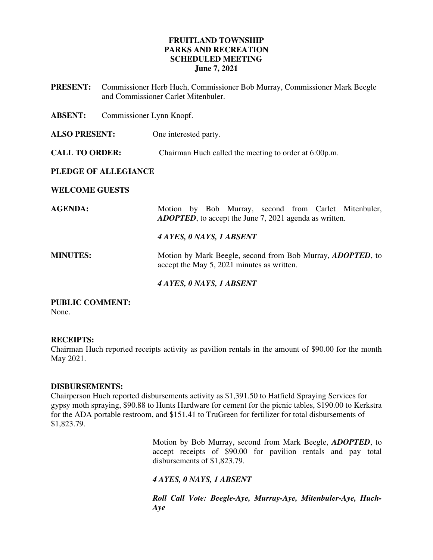## **FRUITLAND TOWNSHIP PARKS AND RECREATION SCHEDULED MEETING June 7, 2021**

**PRESENT:** Commissioner Herb Huch, Commissioner Bob Murray, Commissioner Mark Beegle and Commissioner Carlet Mitenbuler.

**ABSENT:** Commissioner Lynn Knopf.

**ALSO PRESENT:** One interested party.

**CALL TO ORDER:** Chairman Huch called the meeting to order at 6:00p.m.

## **PLEDGE OF ALLEGIANCE**

#### **WELCOME GUESTS**

AGENDA: Motion by Bob Murray, second from Carlet Mitenbuler, *ADOPTED*, to accept the June 7, 2021 agenda as written. *4 AYES, 0 NAYS, 1 ABSENT*  **MINUTES:** Motion by Mark Beegle, second from Bob Murray, *ADOPTED*, to accept the May 5, 2021 minutes as written.  *4 AYES, 0 NAYS, 1 ABSENT* 

# **PUBLIC COMMENT:**

None.

## **RECEIPTS:**

Chairman Huch reported receipts activity as pavilion rentals in the amount of \$90.00 for the month May 2021.

## **DISBURSEMENTS:**

Chairperson Huch reported disbursements activity as \$1,391.50 to Hatfield Spraying Services for gypsy moth spraying, \$90.88 to Hunts Hardware for cement for the picnic tables, \$190.00 to Kerkstra for the ADA portable restroom, and \$151.41 to TruGreen for fertilizer for total disbursements of \$1,823.79.

> Motion by Bob Murray, second from Mark Beegle, *ADOPTED*, to accept receipts of \$90.00 for pavilion rentals and pay total disbursements of \$1,823.79.

## *4 AYES, 0 NAYS, 1 ABSENT*

*Roll Call Vote: Beegle-Aye, Murray-Aye, Mitenbuler-Aye, Huch-Aye*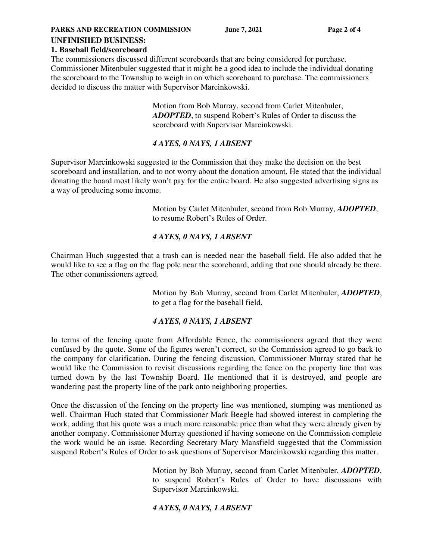**PARKS AND RECREATION COMMISSION** June 7, 2021 Page 2 of 4

#### **UNFINISHED BUSINESS:**

#### **1. Baseball field/scoreboard**

The commissioners discussed different scoreboards that are being considered for purchase. Commissioner Mitenbuler suggested that it might be a good idea to include the individual donating the scoreboard to the Township to weigh in on which scoreboard to purchase. The commissioners decided to discuss the matter with Supervisor Marcinkowski.

> Motion from Bob Murray, second from Carlet Mitenbuler, *ADOPTED*, to suspend Robert's Rules of Order to discuss the scoreboard with Supervisor Marcinkowski.

## *4 AYES, 0 NAYS, 1 ABSENT*

Supervisor Marcinkowski suggested to the Commission that they make the decision on the best scoreboard and installation, and to not worry about the donation amount. He stated that the individual donating the board most likely won't pay for the entire board. He also suggested advertising signs as a way of producing some income.

> Motion by Carlet Mitenbuler, second from Bob Murray, *ADOPTED*, to resume Robert's Rules of Order.

## *4 AYES, 0 NAYS, 1 ABSENT*

Chairman Huch suggested that a trash can is needed near the baseball field. He also added that he would like to see a flag on the flag pole near the scoreboard, adding that one should already be there. The other commissioners agreed.

> Motion by Bob Murray, second from Carlet Mitenbuler, *ADOPTED*, to get a flag for the baseball field.

## *4 AYES, 0 NAYS, 1 ABSENT*

In terms of the fencing quote from Affordable Fence, the commissioners agreed that they were confused by the quote. Some of the figures weren't correct, so the Commission agreed to go back to the company for clarification. During the fencing discussion, Commissioner Murray stated that he would like the Commission to revisit discussions regarding the fence on the property line that was turned down by the last Township Board. He mentioned that it is destroyed, and people are wandering past the property line of the park onto neighboring properties.

Once the discussion of the fencing on the property line was mentioned, stumping was mentioned as well. Chairman Huch stated that Commissioner Mark Beegle had showed interest in completing the work, adding that his quote was a much more reasonable price than what they were already given by another company. Commissioner Murray questioned if having someone on the Commission complete the work would be an issue. Recording Secretary Mary Mansfield suggested that the Commission suspend Robert's Rules of Order to ask questions of Supervisor Marcinkowski regarding this matter.

> Motion by Bob Murray, second from Carlet Mitenbuler, *ADOPTED*, to suspend Robert's Rules of Order to have discussions with Supervisor Marcinkowski.

## *4 AYES, 0 NAYS, 1 ABSENT*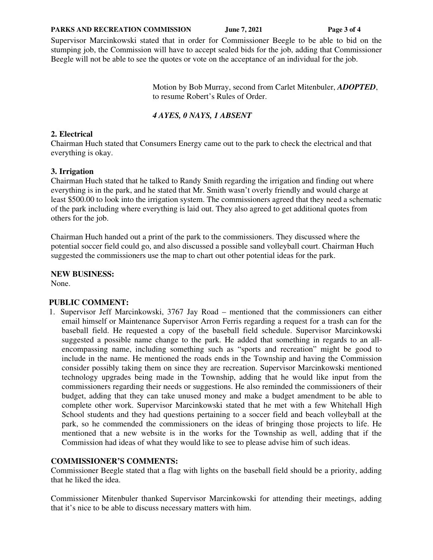#### PARKS AND RECREATION COMMISSION June 7, 2021 Page 3 of 4

Supervisor Marcinkowski stated that in order for Commissioner Beegle to be able to bid on the stumping job, the Commission will have to accept sealed bids for the job, adding that Commissioner Beegle will not be able to see the quotes or vote on the acceptance of an individual for the job.

> Motion by Bob Murray, second from Carlet Mitenbuler, *ADOPTED*, to resume Robert's Rules of Order.

#### *4 AYES, 0 NAYS, 1 ABSENT*

#### **2. Electrical**

Chairman Huch stated that Consumers Energy came out to the park to check the electrical and that everything is okay.

#### **3. Irrigation**

Chairman Huch stated that he talked to Randy Smith regarding the irrigation and finding out where everything is in the park, and he stated that Mr. Smith wasn't overly friendly and would charge at least \$500.00 to look into the irrigation system. The commissioners agreed that they need a schematic of the park including where everything is laid out. They also agreed to get additional quotes from others for the job.

Chairman Huch handed out a print of the park to the commissioners. They discussed where the potential soccer field could go, and also discussed a possible sand volleyball court. Chairman Huch suggested the commissioners use the map to chart out other potential ideas for the park.

**NEW BUSINESS:**  None.

**PUBLIC COMMENT:** 

1. Supervisor Jeff Marcinkowski, 3767 Jay Road – mentioned that the commissioners can either email himself or Maintenance Supervisor Arron Ferris regarding a request for a trash can for the baseball field. He requested a copy of the baseball field schedule. Supervisor Marcinkowski suggested a possible name change to the park. He added that something in regards to an allencompassing name, including something such as "sports and recreation" might be good to include in the name. He mentioned the roads ends in the Township and having the Commission consider possibly taking them on since they are recreation. Supervisor Marcinkowski mentioned technology upgrades being made in the Township, adding that he would like input from the commissioners regarding their needs or suggestions. He also reminded the commissioners of their budget, adding that they can take unused money and make a budget amendment to be able to complete other work. Supervisor Marcinkowski stated that he met with a few Whitehall High School students and they had questions pertaining to a soccer field and beach volleyball at the park, so he commended the commissioners on the ideas of bringing those projects to life. He mentioned that a new website is in the works for the Township as well, adding that if the Commission had ideas of what they would like to see to please advise him of such ideas.

## **COMMISSIONER'S COMMENTS:**

Commissioner Beegle stated that a flag with lights on the baseball field should be a priority, adding that he liked the idea.

Commissioner Mitenbuler thanked Supervisor Marcinkowski for attending their meetings, adding that it's nice to be able to discuss necessary matters with him.